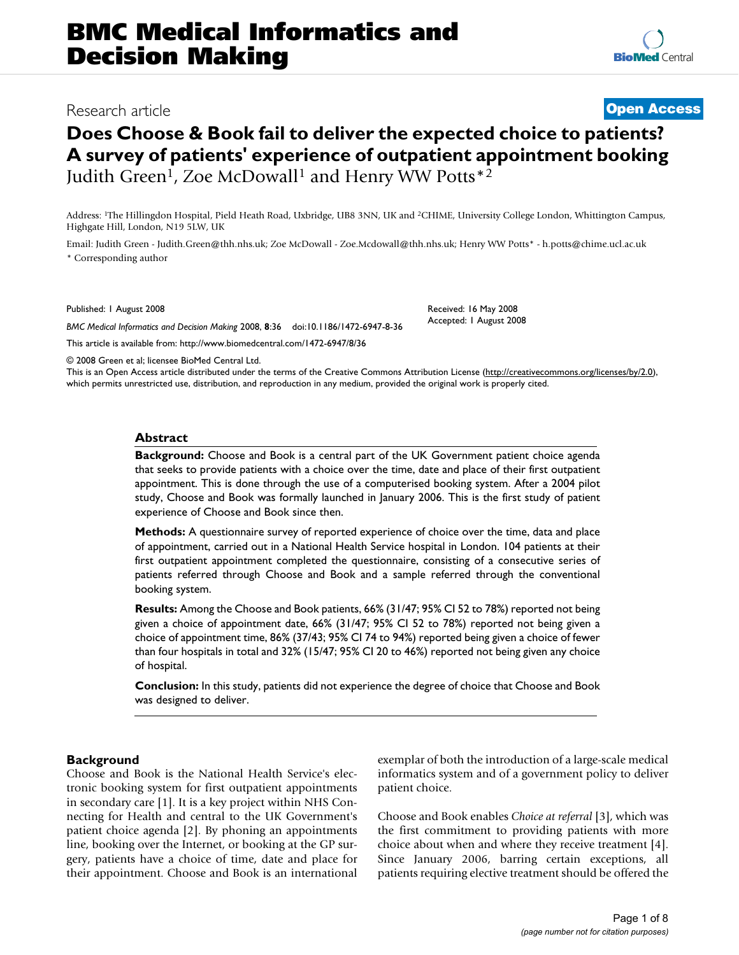**[BioMed](http://www.biomedcentral.com/)** Central

# **Does Choose & Book fail to deliver the expected choice to patients? A survey of patients' experience of outpatient appointment booking** Judith Green<sup>1</sup>, Zoe McDowall<sup>1</sup> and Henry WW Potts<sup>\*2</sup>

Address: 1The Hillingdon Hospital, Pield Heath Road, Uxbridge, UB8 3NN, UK and 2CHIME, University College London, Whittington Campus, Highgate Hill, London, N19 5LW, UK

Email: Judith Green - Judith.Green@thh.nhs.uk; Zoe McDowall - Zoe.Mcdowall@thh.nhs.uk; Henry WW Potts\* - h.potts@chime.ucl.ac.uk \* Corresponding author

Published: 1 August 2008

*BMC Medical Informatics and Decision Making* 2008, **8**:36 doi:10.1186/1472-6947-8-36

[This article is available from: http://www.biomedcentral.com/1472-6947/8/36](http://www.biomedcentral.com/1472-6947/8/36)

© 2008 Green et al; licensee BioMed Central Ltd.

This is an Open Access article distributed under the terms of the Creative Commons Attribution License [\(http://creativecommons.org/licenses/by/2.0\)](http://creativecommons.org/licenses/by/2.0), which permits unrestricted use, distribution, and reproduction in any medium, provided the original work is properly cited.

Received: 16 May 2008 Accepted: 1 August 2008

#### **Abstract**

**Background:** Choose and Book is a central part of the UK Government patient choice agenda that seeks to provide patients with a choice over the time, date and place of their first outpatient appointment. This is done through the use of a computerised booking system. After a 2004 pilot study, Choose and Book was formally launched in January 2006. This is the first study of patient experience of Choose and Book since then.

**Methods:** A questionnaire survey of reported experience of choice over the time, data and place of appointment, carried out in a National Health Service hospital in London. 104 patients at their first outpatient appointment completed the questionnaire, consisting of a consecutive series of patients referred through Choose and Book and a sample referred through the conventional booking system.

**Results:** Among the Choose and Book patients, 66% (31/47; 95% CI 52 to 78%) reported not being given a choice of appointment date, 66% (31/47; 95% CI 52 to 78%) reported not being given a choice of appointment time, 86% (37/43; 95% CI 74 to 94%) reported being given a choice of fewer than four hospitals in total and 32% (15/47; 95% CI 20 to 46%) reported not being given any choice of hospital.

**Conclusion:** In this study, patients did not experience the degree of choice that Choose and Book was designed to deliver.

#### **Background**

Choose and Book is the National Health Service's electronic booking system for first outpatient appointments in secondary care [1]. It is a key project within NHS Connecting for Health and central to the UK Government's patient choice agenda [2]. By phoning an appointments line, booking over the Internet, or booking at the GP surgery, patients have a choice of time, date and place for their appointment. Choose and Book is an international exemplar of both the introduction of a large-scale medical informatics system and of a government policy to deliver patient choice.

Choose and Book enables *Choice at referral* [3], which was the first commitment to providing patients with more choice about when and where they receive treatment [4]. Since January 2006, barring certain exceptions, all patients requiring elective treatment should be offered the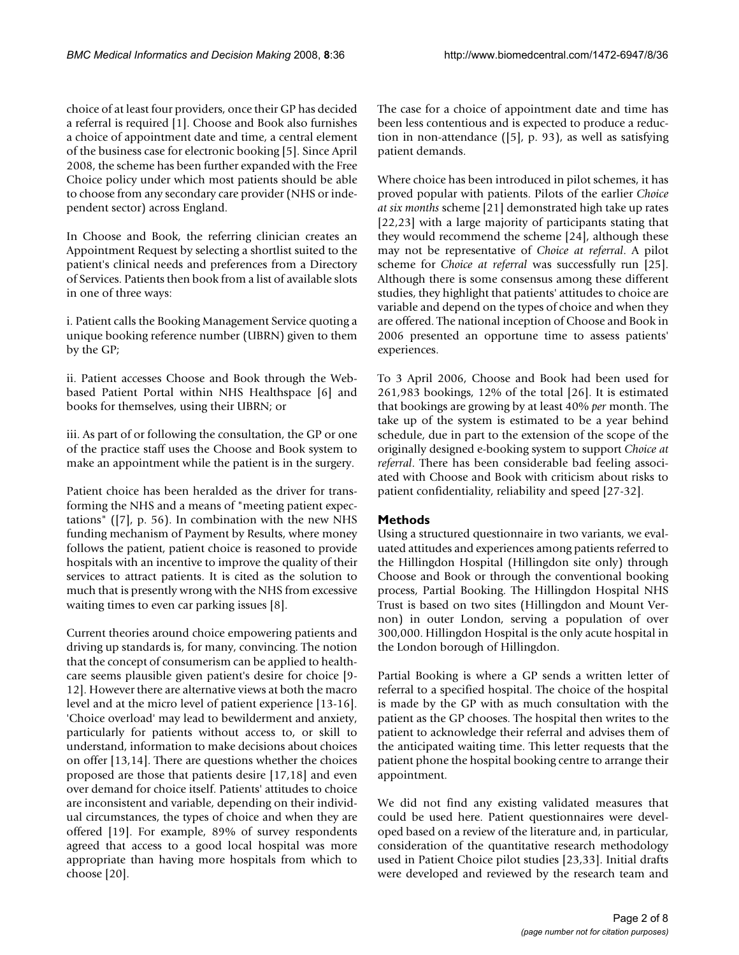choice of at least four providers, once their GP has decided a referral is required [1]. Choose and Book also furnishes a choice of appointment date and time, a central element of the business case for electronic booking [5]. Since April 2008, the scheme has been further expanded with the Free Choice policy under which most patients should be able to choose from any secondary care provider (NHS or independent sector) across England.

In Choose and Book, the referring clinician creates an Appointment Request by selecting a shortlist suited to the patient's clinical needs and preferences from a Directory of Services. Patients then book from a list of available slots in one of three ways:

i. Patient calls the Booking Management Service quoting a unique booking reference number (UBRN) given to them by the GP;

ii. Patient accesses Choose and Book through the Webbased Patient Portal within NHS Healthspace [6] and books for themselves, using their UBRN; or

iii. As part of or following the consultation, the GP or one of the practice staff uses the Choose and Book system to make an appointment while the patient is in the surgery.

Patient choice has been heralded as the driver for transforming the NHS and a means of "meeting patient expectations" ([7], p. 56). In combination with the new NHS funding mechanism of Payment by Results, where money follows the patient, patient choice is reasoned to provide hospitals with an incentive to improve the quality of their services to attract patients. It is cited as the solution to much that is presently wrong with the NHS from excessive waiting times to even car parking issues [8].

Current theories around choice empowering patients and driving up standards is, for many, convincing. The notion that the concept of consumerism can be applied to healthcare seems plausible given patient's desire for choice [9- 12]. However there are alternative views at both the macro level and at the micro level of patient experience [13-16]. 'Choice overload' may lead to bewilderment and anxiety, particularly for patients without access to, or skill to understand, information to make decisions about choices on offer [13,14]. There are questions whether the choices proposed are those that patients desire [17,18] and even over demand for choice itself. Patients' attitudes to choice are inconsistent and variable, depending on their individual circumstances, the types of choice and when they are offered [19]. For example, 89% of survey respondents agreed that access to a good local hospital was more appropriate than having more hospitals from which to choose [20].

The case for a choice of appointment date and time has been less contentious and is expected to produce a reduction in non-attendance ([5], p. 93), as well as satisfying patient demands.

Where choice has been introduced in pilot schemes, it has proved popular with patients. Pilots of the earlier *Choice at six months* scheme [21] demonstrated high take up rates [22,23] with a large majority of participants stating that they would recommend the scheme [24], although these may not be representative of *Choice at referral*. A pilot scheme for *Choice at referral* was successfully run [25]. Although there is some consensus among these different studies, they highlight that patients' attitudes to choice are variable and depend on the types of choice and when they are offered. The national inception of Choose and Book in 2006 presented an opportune time to assess patients' experiences.

To 3 April 2006, Choose and Book had been used for 261,983 bookings, 12% of the total [26]. It is estimated that bookings are growing by at least 40% *per* month. The take up of the system is estimated to be a year behind schedule, due in part to the extension of the scope of the originally designed e-booking system to support *Choice at referral*. There has been considerable bad feeling associated with Choose and Book with criticism about risks to patient confidentiality, reliability and speed [27-32].

# **Methods**

Using a structured questionnaire in two variants, we evaluated attitudes and experiences among patients referred to the Hillingdon Hospital (Hillingdon site only) through Choose and Book or through the conventional booking process, Partial Booking. The Hillingdon Hospital NHS Trust is based on two sites (Hillingdon and Mount Vernon) in outer London, serving a population of over 300,000. Hillingdon Hospital is the only acute hospital in the London borough of Hillingdon.

Partial Booking is where a GP sends a written letter of referral to a specified hospital. The choice of the hospital is made by the GP with as much consultation with the patient as the GP chooses. The hospital then writes to the patient to acknowledge their referral and advises them of the anticipated waiting time. This letter requests that the patient phone the hospital booking centre to arrange their appointment.

We did not find any existing validated measures that could be used here. Patient questionnaires were developed based on a review of the literature and, in particular, consideration of the quantitative research methodology used in Patient Choice pilot studies [23,33]. Initial drafts were developed and reviewed by the research team and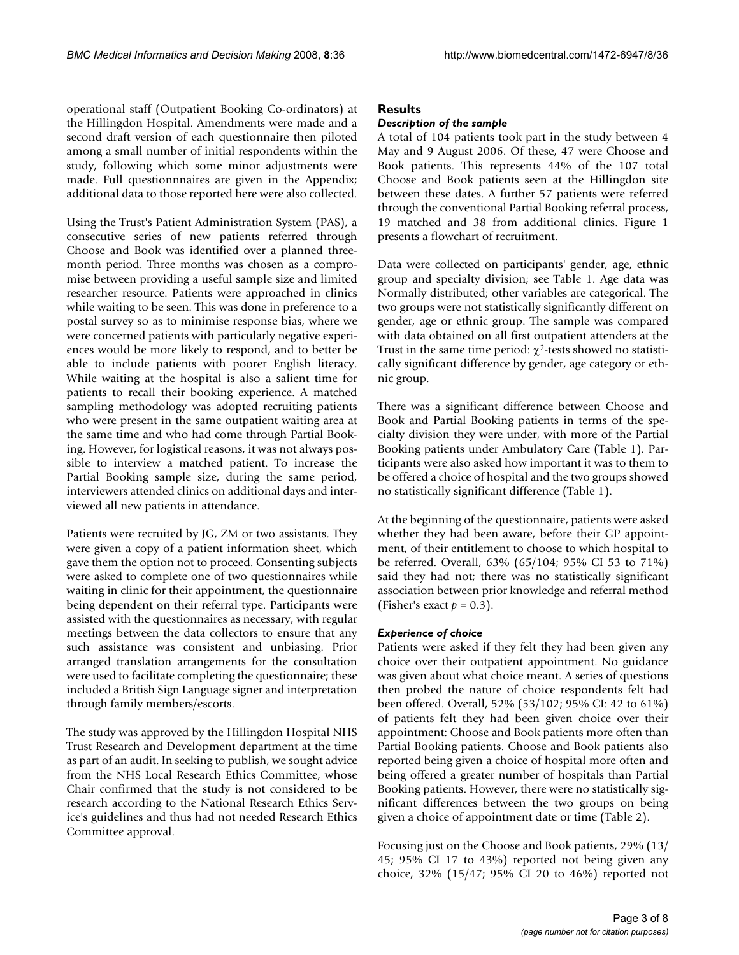operational staff (Outpatient Booking Co-ordinators) at the Hillingdon Hospital. Amendments were made and a second draft version of each questionnaire then piloted among a small number of initial respondents within the study, following which some minor adjustments were made. Full questionnnaires are given in the Appendix; additional data to those reported here were also collected.

Using the Trust's Patient Administration System (PAS), a consecutive series of new patients referred through Choose and Book was identified over a planned threemonth period. Three months was chosen as a compromise between providing a useful sample size and limited researcher resource. Patients were approached in clinics while waiting to be seen. This was done in preference to a postal survey so as to minimise response bias, where we were concerned patients with particularly negative experiences would be more likely to respond, and to better be able to include patients with poorer English literacy. While waiting at the hospital is also a salient time for patients to recall their booking experience. A matched sampling methodology was adopted recruiting patients who were present in the same outpatient waiting area at the same time and who had come through Partial Booking. However, for logistical reasons, it was not always possible to interview a matched patient. To increase the Partial Booking sample size, during the same period, interviewers attended clinics on additional days and interviewed all new patients in attendance.

Patients were recruited by JG, ZM or two assistants. They were given a copy of a patient information sheet, which gave them the option not to proceed. Consenting subjects were asked to complete one of two questionnaires while waiting in clinic for their appointment, the questionnaire being dependent on their referral type. Participants were assisted with the questionnaires as necessary, with regular meetings between the data collectors to ensure that any such assistance was consistent and unbiasing. Prior arranged translation arrangements for the consultation were used to facilitate completing the questionnaire; these included a British Sign Language signer and interpretation through family members/escorts.

The study was approved by the Hillingdon Hospital NHS Trust Research and Development department at the time as part of an audit. In seeking to publish, we sought advice from the NHS Local Research Ethics Committee, whose Chair confirmed that the study is not considered to be research according to the National Research Ethics Service's guidelines and thus had not needed Research Ethics Committee approval.

# **Results**

#### *Description of the sample*

A total of 104 patients took part in the study between 4 May and 9 August 2006. Of these, 47 were Choose and Book patients. This represents 44% of the 107 total Choose and Book patients seen at the Hillingdon site between these dates. A further 57 patients were referred through the conventional Partial Booking referral process, 19 matched and 38 from additional clinics. Figure 1 presents a flowchart of recruitment.

Data were collected on participants' gender, age, ethnic group and specialty division; see Table 1. Age data was Normally distributed; other variables are categorical. The two groups were not statistically significantly different on gender, age or ethnic group. The sample was compared with data obtained on all first outpatient attenders at the Trust in the same time period:  $\chi^2$ -tests showed no statistically significant difference by gender, age category or ethnic group.

There was a significant difference between Choose and Book and Partial Booking patients in terms of the specialty division they were under, with more of the Partial Booking patients under Ambulatory Care (Table 1). Participants were also asked how important it was to them to be offered a choice of hospital and the two groups showed no statistically significant difference (Table 1).

At the beginning of the questionnaire, patients were asked whether they had been aware, before their GP appointment, of their entitlement to choose to which hospital to be referred. Overall, 63% (65/104; 95% CI 53 to 71%) said they had not; there was no statistically significant association between prior knowledge and referral method (Fisher's exact  $p = 0.3$ ).

#### *Experience of choice*

Patients were asked if they felt they had been given any choice over their outpatient appointment. No guidance was given about what choice meant. A series of questions then probed the nature of choice respondents felt had been offered. Overall, 52% (53/102; 95% CI: 42 to 61%) of patients felt they had been given choice over their appointment: Choose and Book patients more often than Partial Booking patients. Choose and Book patients also reported being given a choice of hospital more often and being offered a greater number of hospitals than Partial Booking patients. However, there were no statistically significant differences between the two groups on being given a choice of appointment date or time (Table 2).

Focusing just on the Choose and Book patients, 29% (13/ 45; 95% CI 17 to 43%) reported not being given any choice, 32% (15/47; 95% CI 20 to 46%) reported not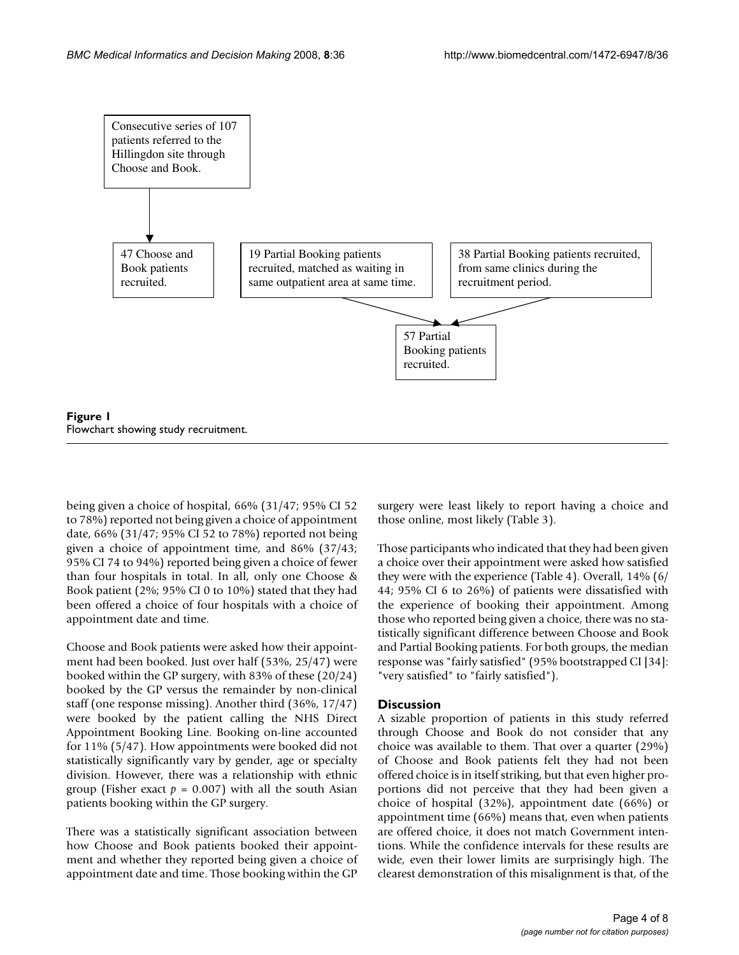

being given a choice of hospital, 66% (31/47; 95% CI 52 to 78%) reported not being given a choice of appointment date, 66% (31/47; 95% CI 52 to 78%) reported not being given a choice of appointment time, and 86% (37/43; 95% CI 74 to 94%) reported being given a choice of fewer than four hospitals in total. In all, only one Choose & Book patient (2%; 95% CI 0 to 10%) stated that they had been offered a choice of four hospitals with a choice of appointment date and time.

Choose and Book patients were asked how their appointment had been booked. Just over half (53%, 25/47) were booked within the GP surgery, with 83% of these (20/24) booked by the GP versus the remainder by non-clinical staff (one response missing). Another third (36%, 17/47) were booked by the patient calling the NHS Direct Appointment Booking Line. Booking on-line accounted for 11% (5/47). How appointments were booked did not statistically significantly vary by gender, age or specialty division. However, there was a relationship with ethnic group (Fisher exact  $p = 0.007$ ) with all the south Asian patients booking within the GP surgery.

There was a statistically significant association between how Choose and Book patients booked their appointment and whether they reported being given a choice of appointment date and time. Those booking within the GP surgery were least likely to report having a choice and those online, most likely (Table 3).

Those participants who indicated that they had been given a choice over their appointment were asked how satisfied they were with the experience (Table 4). Overall, 14% (6/ 44; 95% CI 6 to 26%) of patients were dissatisfied with the experience of booking their appointment. Among those who reported being given a choice, there was no statistically significant difference between Choose and Book and Partial Booking patients. For both groups, the median response was "fairly satisfied" (95% bootstrapped CI [34]: "very satisfied" to "fairly satisfied").

### **Discussion**

A sizable proportion of patients in this study referred through Choose and Book do not consider that any choice was available to them. That over a quarter (29%) of Choose and Book patients felt they had not been offered choice is in itself striking, but that even higher proportions did not perceive that they had been given a choice of hospital (32%), appointment date (66%) or appointment time (66%) means that, even when patients are offered choice, it does not match Government intentions. While the confidence intervals for these results are wide, even their lower limits are surprisingly high. The clearest demonstration of this misalignment is that, of the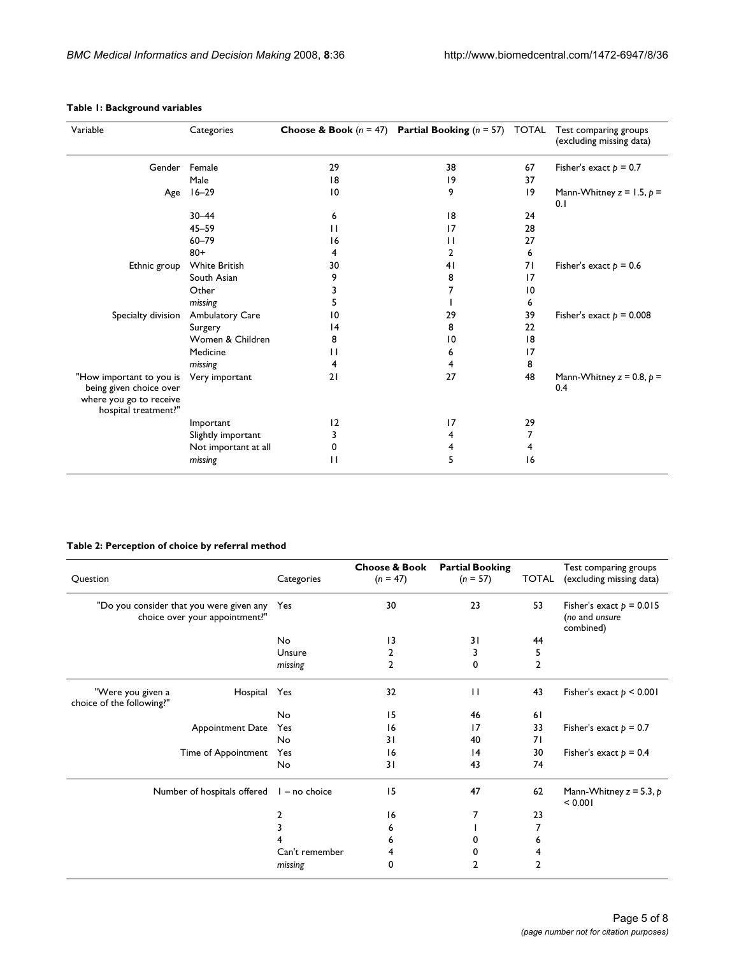| Variable                                                                                               | Categories             |                 | <b>Choose &amp; Book</b> $(n = 47)$ <b>Partial Booking</b> $(n = 57)$ TOTAL |                 | Test comparing groups<br>(excluding missing data) |  |
|--------------------------------------------------------------------------------------------------------|------------------------|-----------------|-----------------------------------------------------------------------------|-----------------|---------------------------------------------------|--|
| Gender                                                                                                 | Female                 | 29              | 38                                                                          | 67              | Fisher's exact $p = 0.7$                          |  |
|                                                                                                        | Male                   | 18              | 9                                                                           | 37              |                                                   |  |
| Age                                                                                                    | $16 - 29$              | $\overline{10}$ | 9                                                                           | 9               | Mann-Whitney $z = 1.5$ , $p =$<br>0.1             |  |
|                                                                                                        | $30 - 44$              | 6               | 18                                                                          | 24              |                                                   |  |
|                                                                                                        | $45 - 59$              | П               | 17                                                                          | 28              |                                                   |  |
|                                                                                                        | $60 - 79$              | 16              | П                                                                           | 27              |                                                   |  |
|                                                                                                        | $80+$                  | 4               | 2                                                                           | 6               |                                                   |  |
| Ethnic group                                                                                           | <b>White British</b>   | 30              | 41                                                                          | 71              | Fisher's exact $p = 0.6$                          |  |
|                                                                                                        | South Asian            | 9               | 8                                                                           | 17              |                                                   |  |
|                                                                                                        | Other                  | 3               |                                                                             | $\overline{10}$ |                                                   |  |
|                                                                                                        | missing                | 5               |                                                                             | 6               |                                                   |  |
| Specialty division                                                                                     | <b>Ambulatory Care</b> | 10              | 29                                                                          | 39              | Fisher's exact $p = 0.008$                        |  |
|                                                                                                        | Surgery                | 4               | 8                                                                           | 22              |                                                   |  |
|                                                                                                        | Women & Children       | 8               | 10                                                                          | 8               |                                                   |  |
|                                                                                                        | Medicine               | $\mathbf{H}$    | 6                                                                           | 17              |                                                   |  |
|                                                                                                        | missing                | 4               | 4                                                                           | 8               |                                                   |  |
| "How important to you is<br>being given choice over<br>where you go to receive<br>hospital treatment?" | Very important         | 21              | 27                                                                          | 48              | Mann-Whitney $z = 0.8$ , $p =$<br>0.4             |  |
|                                                                                                        | Important              | 12              | 17                                                                          | 29              |                                                   |  |
|                                                                                                        | Slightly important     | 3               | 4                                                                           | 7               |                                                   |  |
|                                                                                                        | Not important at all   | 0               | 4                                                                           | 4               |                                                   |  |
|                                                                                                        | missing                | П               | 5                                                                           | 16              |                                                   |  |

# **Table 1: Background variables**

# **Table 2: Perception of choice by referral method**

| Question                                                                   | Categories     | <b>Choose &amp; Book</b><br>$(n = 47)$ | <b>Partial Booking</b><br>$(n = 57)$ | TOTAL          | Test comparing groups<br>(excluding missing data)         |
|----------------------------------------------------------------------------|----------------|----------------------------------------|--------------------------------------|----------------|-----------------------------------------------------------|
| "Do you consider that you were given any<br>choice over your appointment?" | Yes            | 30                                     | 23                                   | 53             | Fisher's exact $p = 0.015$<br>(no and unsure<br>combined) |
|                                                                            | No             | 3                                      | 31                                   | 44             |                                                           |
|                                                                            | Unsure         | 2                                      | 3                                    | 5              |                                                           |
|                                                                            | missing        | $\mathbf{2}$                           | 0                                    | $\overline{2}$ |                                                           |
| "Were you given a<br>choice of the following?"                             | Hospital Yes   | 32                                     | $\mathbf{H}$                         | 43             | Fisher's exact $p \leq 0.001$                             |
|                                                                            | No             | 15                                     | 46                                   | 61             |                                                           |
| Appointment Date                                                           | Yes            | 16                                     | 17                                   | 33             | Fisher's exact $p = 0.7$                                  |
|                                                                            | No             | 31                                     | 40                                   | 71             |                                                           |
| Time of Appointment                                                        | Yes            | 16                                     | 4                                    | 30             | Fisher's exact $p = 0.4$                                  |
|                                                                            | No             | 31                                     | 43                                   | 74             |                                                           |
| Number of hospitals offered                                                | l – no choice  | 15                                     | 47                                   | 62             | Mann-Whitney $z = 5.3$ , p<br>< 0.001                     |
|                                                                            | 2              | 16                                     |                                      | 23             |                                                           |
|                                                                            | 3              | 6                                      |                                      |                |                                                           |
|                                                                            |                | 6                                      | 0                                    | 6              |                                                           |
|                                                                            | Can't remember | 4                                      | 0                                    | 4              |                                                           |
|                                                                            | missing        | 0                                      | $\overline{2}$                       | $\overline{2}$ |                                                           |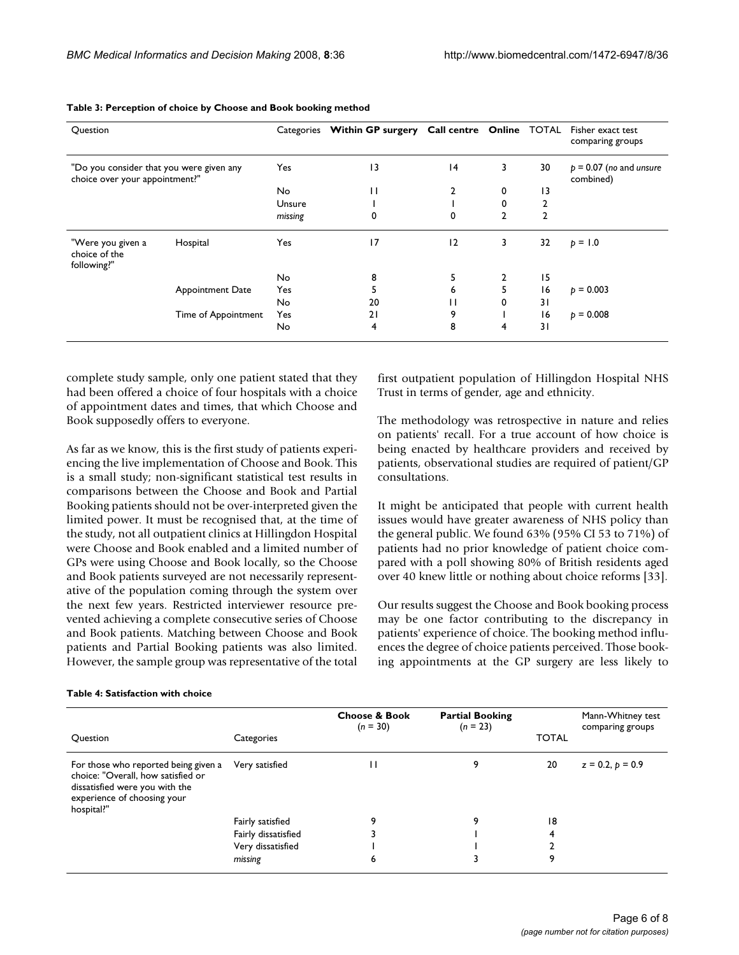| Question                                                                   |                         | Categories | Within GP surgery Call centre Online TOTAL |    |                |              | Fisher exact test<br>comparing groups  |
|----------------------------------------------------------------------------|-------------------------|------------|--------------------------------------------|----|----------------|--------------|----------------------------------------|
| "Do you consider that you were given any<br>choice over your appointment?" |                         | Yes        | $\overline{13}$                            | 4  | 3              | 30           | $p = 0.07$ (no and unsure<br>combined) |
|                                                                            |                         | No         | П                                          | 2  | 0              | 3            |                                        |
|                                                                            |                         | Unsure     |                                            |    | 0              | $\mathbf{2}$ |                                        |
|                                                                            |                         | missing    | 0                                          | 0  | 2              | 2            |                                        |
| "Were you given a<br>choice of the<br>following?"                          | Hospital                | Yes        | $\overline{17}$                            | 12 | 3              | 32           | $p = 1.0$                              |
|                                                                            |                         | No         | 8                                          | 5  | $\overline{2}$ | 15           |                                        |
|                                                                            | <b>Appointment Date</b> | Yes        |                                            | 6  | 5              | 16           | $p = 0.003$                            |
|                                                                            |                         | No         | 20                                         | п  | 0              | 31           |                                        |
|                                                                            | Time of Appointment     | Yes        | 21                                         | 9  |                | 16           | $p = 0.008$                            |
|                                                                            |                         | No         | 4                                          | 8  | 4              | 31           |                                        |

#### **Table 3: Perception of choice by Choose and Book booking method**

complete study sample, only one patient stated that they had been offered a choice of four hospitals with a choice of appointment dates and times, that which Choose and Book supposedly offers to everyone.

As far as we know, this is the first study of patients experiencing the live implementation of Choose and Book. This is a small study; non-significant statistical test results in comparisons between the Choose and Book and Partial Booking patients should not be over-interpreted given the limited power. It must be recognised that, at the time of the study, not all outpatient clinics at Hillingdon Hospital were Choose and Book enabled and a limited number of GPs were using Choose and Book locally, so the Choose and Book patients surveyed are not necessarily representative of the population coming through the system over the next few years. Restricted interviewer resource prevented achieving a complete consecutive series of Choose and Book patients. Matching between Choose and Book patients and Partial Booking patients was also limited. However, the sample group was representative of the total

first outpatient population of Hillingdon Hospital NHS Trust in terms of gender, age and ethnicity.

The methodology was retrospective in nature and relies on patients' recall. For a true account of how choice is being enacted by healthcare providers and received by patients, observational studies are required of patient/GP consultations.

It might be anticipated that people with current health issues would have greater awareness of NHS policy than the general public. We found 63% (95% CI 53 to 71%) of patients had no prior knowledge of patient choice compared with a poll showing 80% of British residents aged over 40 knew little or nothing about choice reforms [33].

Our results suggest the Choose and Book booking process may be one factor contributing to the discrepancy in patients' experience of choice. The booking method influences the degree of choice patients perceived. Those booking appointments at the GP surgery are less likely to

| <b>Ouestion</b>                                                                                                                                           | Categories          | <b>Choose &amp; Book</b><br>$(n = 30)$ | <b>Partial Booking</b><br>$(n = 23)$ | <b>TOTAL</b> | Mann-Whitney test<br>comparing groups |
|-----------------------------------------------------------------------------------------------------------------------------------------------------------|---------------------|----------------------------------------|--------------------------------------|--------------|---------------------------------------|
| For those who reported being given a<br>choice: "Overall, how satisfied or<br>dissatisfied were you with the<br>experience of choosing your<br>hospital?" | Very satisfied      | Ħ                                      | ۹                                    | 20           |                                       |
|                                                                                                                                                           | Fairly satisfied    |                                        |                                      | 18           |                                       |
|                                                                                                                                                           | Fairly dissatisfied |                                        |                                      |              |                                       |
|                                                                                                                                                           | Very dissatisfied   |                                        |                                      |              |                                       |
|                                                                                                                                                           | missing             | 6                                      |                                      |              |                                       |

#### **Table 4: Satisfaction with choice**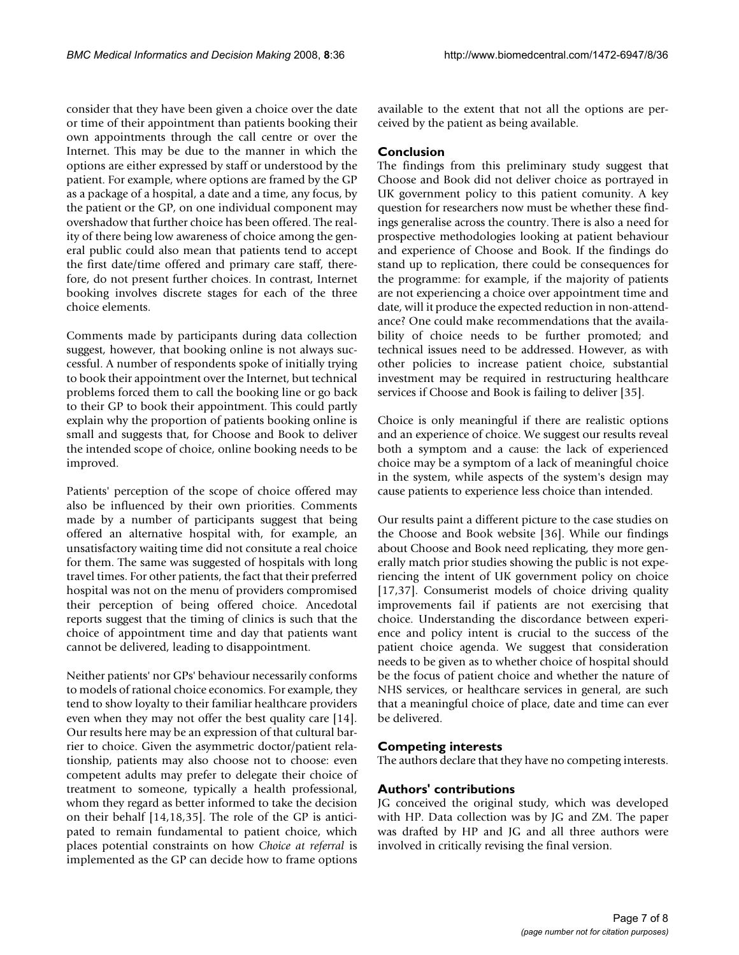consider that they have been given a choice over the date or time of their appointment than patients booking their own appointments through the call centre or over the Internet. This may be due to the manner in which the options are either expressed by staff or understood by the patient. For example, where options are framed by the GP as a package of a hospital, a date and a time, any focus, by the patient or the GP, on one individual component may overshadow that further choice has been offered. The reality of there being low awareness of choice among the general public could also mean that patients tend to accept the first date/time offered and primary care staff, therefore, do not present further choices. In contrast, Internet booking involves discrete stages for each of the three choice elements.

Comments made by participants during data collection suggest, however, that booking online is not always successful. A number of respondents spoke of initially trying to book their appointment over the Internet, but technical problems forced them to call the booking line or go back to their GP to book their appointment. This could partly explain why the proportion of patients booking online is small and suggests that, for Choose and Book to deliver the intended scope of choice, online booking needs to be improved.

Patients' perception of the scope of choice offered may also be influenced by their own priorities. Comments made by a number of participants suggest that being offered an alternative hospital with, for example, an unsatisfactory waiting time did not consitute a real choice for them. The same was suggested of hospitals with long travel times. For other patients, the fact that their preferred hospital was not on the menu of providers compromised their perception of being offered choice. Ancedotal reports suggest that the timing of clinics is such that the choice of appointment time and day that patients want cannot be delivered, leading to disappointment.

Neither patients' nor GPs' behaviour necessarily conforms to models of rational choice economics. For example, they tend to show loyalty to their familiar healthcare providers even when they may not offer the best quality care [14]. Our results here may be an expression of that cultural barrier to choice. Given the asymmetric doctor/patient relationship, patients may also choose not to choose: even competent adults may prefer to delegate their choice of treatment to someone, typically a health professional, whom they regard as better informed to take the decision on their behalf [14,18,35]. The role of the GP is anticipated to remain fundamental to patient choice, which places potential constraints on how *Choice at referral* is implemented as the GP can decide how to frame options available to the extent that not all the options are perceived by the patient as being available.

# **Conclusion**

The findings from this preliminary study suggest that Choose and Book did not deliver choice as portrayed in UK government policy to this patient comunity. A key question for researchers now must be whether these findings generalise across the country. There is also a need for prospective methodologies looking at patient behaviour and experience of Choose and Book. If the findings do stand up to replication, there could be consequences for the programme: for example, if the majority of patients are not experiencing a choice over appointment time and date, will it produce the expected reduction in non-attendance? One could make recommendations that the availability of choice needs to be further promoted; and technical issues need to be addressed. However, as with other policies to increase patient choice, substantial investment may be required in restructuring healthcare services if Choose and Book is failing to deliver [35].

Choice is only meaningful if there are realistic options and an experience of choice. We suggest our results reveal both a symptom and a cause: the lack of experienced choice may be a symptom of a lack of meaningful choice in the system, while aspects of the system's design may cause patients to experience less choice than intended.

Our results paint a different picture to the case studies on the Choose and Book website [36]. While our findings about Choose and Book need replicating, they more generally match prior studies showing the public is not experiencing the intent of UK government policy on choice [17,37]. Consumerist models of choice driving quality improvements fail if patients are not exercising that choice. Understanding the discordance between experience and policy intent is crucial to the success of the patient choice agenda. We suggest that consideration needs to be given as to whether choice of hospital should be the focus of patient choice and whether the nature of NHS services, or healthcare services in general, are such that a meaningful choice of place, date and time can ever be delivered.

#### **Competing interests**

The authors declare that they have no competing interests.

#### **Authors' contributions**

JG conceived the original study, which was developed with HP. Data collection was by JG and ZM. The paper was drafted by HP and JG and all three authors were involved in critically revising the final version.